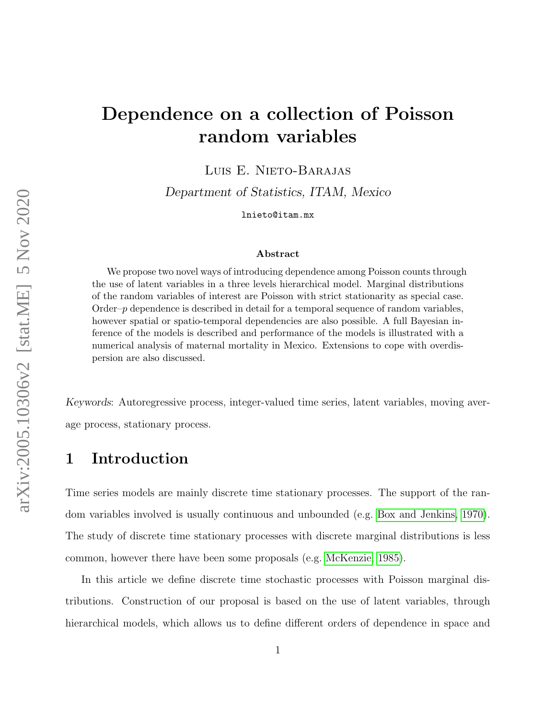# Dependence on a collection of Poisson random variables

Luis E. Nieto-Barajas

Department of Statistics, ITAM, Mexico

lnieto@itam.mx

#### Abstract

We propose two novel ways of introducing dependence among Poisson counts through the use of latent variables in a three levels hierarchical model. Marginal distributions of the random variables of interest are Poisson with strict stationarity as special case. Order–p dependence is described in detail for a temporal sequence of random variables, however spatial or spatio-temporal dependencies are also possible. A full Bayesian inference of the models is described and performance of the models is illustrated with a numerical analysis of maternal mortality in Mexico. Extensions to cope with overdispersion are also discussed.

Keywords: Autoregressive process, integer-valued time series, latent variables, moving average process, stationary process.

# 1 Introduction

Time series models are mainly discrete time stationary processes. The support of the random variables involved is usually continuous and unbounded (e.g. [Box and Jenkins, 1970\)](#page-17-0). The study of discrete time stationary processes with discrete marginal distributions is less common, however there have been some proposals (e.g. [McKenzie, 1985\)](#page-18-0).

In this article we define discrete time stochastic processes with Poisson marginal distributions. Construction of our proposal is based on the use of latent variables, through hierarchical models, which allows us to define different orders of dependence in space and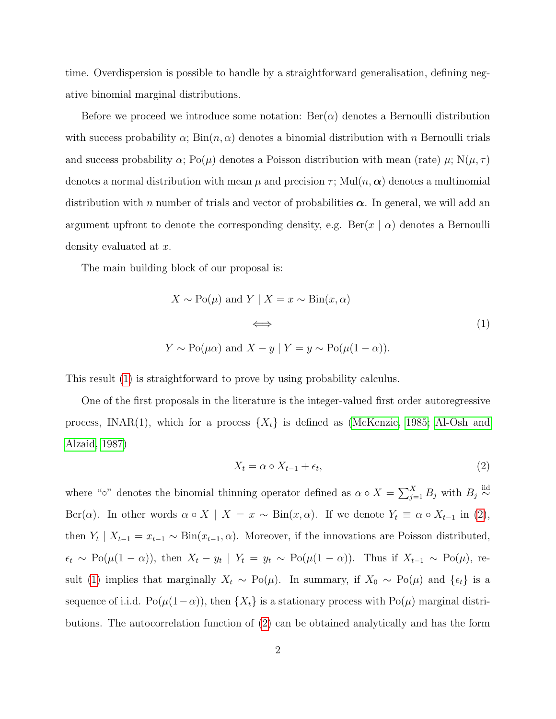time. Overdispersion is possible to handle by a straightforward generalisation, defining negative binomial marginal distributions.

Before we proceed we introduce some notation:  $\text{Ber}(\alpha)$  denotes a Bernoulli distribution with success probability  $\alpha$ ;  $\text{Bin}(n, \alpha)$  denotes a binomial distribution with n Bernoulli trials and success probability  $\alpha$ ; Po( $\mu$ ) denotes a Poisson distribution with mean (rate)  $\mu$ ; N( $\mu$ ,  $\tau$ ) denotes a normal distribution with mean  $\mu$  and precision  $\tau$ ; Mul $(n, \alpha)$  denotes a multinomial distribution with n number of trials and vector of probabilities  $\alpha$ . In general, we will add an argument upfront to denote the corresponding density, e.g.  $\text{Ber}(x \mid \alpha)$  denotes a Bernoulli density evaluated at x.

The main building block of our proposal is:

$$
X \sim \text{Po}(\mu) \text{ and } Y \mid X = x \sim \text{Bin}(x, \alpha)
$$
  

$$
\iff
$$
  

$$
Y \sim \text{Po}(\mu \alpha) \text{ and } X - y \mid Y = y \sim \text{Po}(\mu(1 - \alpha)).
$$
 (1)

This result [\(1\)](#page-1-0) is straightforward to prove by using probability calculus.

One of the first proposals in the literature is the integer-valued first order autoregressive process, INAR(1), which for a process  $\{X_t\}$  is defined as [\(McKenzie, 1985;](#page-18-0) [Al-Osh and](#page-17-1) [Alzaid, 1987\)](#page-17-1)

<span id="page-1-1"></span><span id="page-1-0"></span>
$$
X_t = \alpha \circ X_{t-1} + \epsilon_t,\tag{2}
$$

where "∘" denotes the binomial thinning operator defined as  $\alpha \circ X = \sum_{j=1}^{X} B_j$  with  $B_j \stackrel{\text{iid}}{\sim}$ Ber( $\alpha$ ). In other words  $\alpha \circ X \mid X = x \sim \text{Bin}(x, \alpha)$ . If we denote  $Y_t \equiv \alpha \circ X_{t-1}$  in [\(2\)](#page-1-1), then  $Y_t \mid X_{t-1} = x_{t-1} \sim \text{Bin}(x_{t-1}, \alpha)$ . Moreover, if the innovations are Poisson distributed,  $\epsilon_t \sim Po(\mu(1-\alpha))$ , then  $X_t - y_t \mid Y_t = y_t \sim Po(\mu(1-\alpha))$ . Thus if  $X_{t-1} \sim Po(\mu)$ , re-sult [\(1\)](#page-1-0) implies that marginally  $X_t \sim Po(\mu)$ . In summary, if  $X_0 \sim Po(\mu)$  and  $\{\epsilon_t\}$  is a sequence of i.i.d. Po( $\mu(1-\alpha)$ ), then  $\{X_t\}$  is a stationary process with Po( $\mu$ ) marginal distributions. The autocorrelation function of [\(2\)](#page-1-1) can be obtained analytically and has the form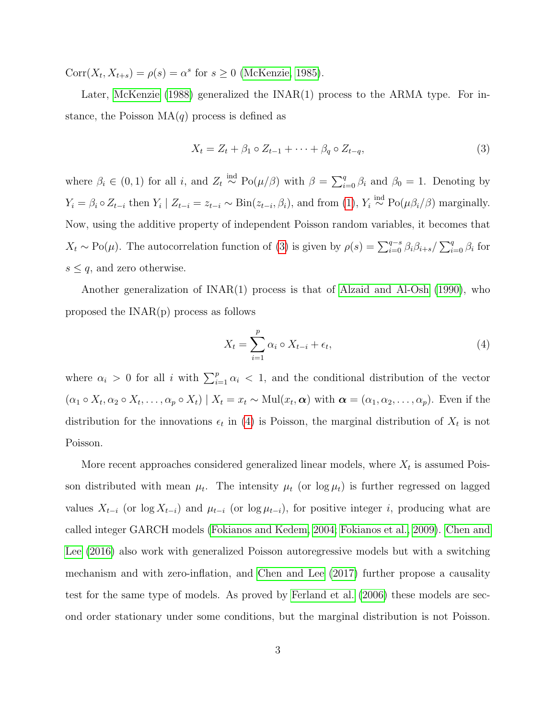$Corr(X_t, X_{t+s}) = \rho(s) = \alpha^s$  for  $s \geq 0$  [\(McKenzie, 1985\)](#page-18-0).

Later, [McKenzie](#page-18-1) [\(1988\)](#page-18-1) generalized the INAR(1) process to the ARMA type. For instance, the Poisson  $MA(q)$  process is defined as

<span id="page-2-0"></span>
$$
X_t = Z_t + \beta_1 \circ Z_{t-1} + \dots + \beta_q \circ Z_{t-q},\tag{3}
$$

where  $\beta_i \in (0,1)$  for all i, and  $Z_t \stackrel{\text{ind}}{\sim} Po(\mu/\beta)$  with  $\beta = \sum_{i=0}^q \beta_i$  and  $\beta_0 = 1$ . Denoting by  $Y_i = \beta_i \circ Z_{t-i}$  then  $Y_i \mid Z_{t-i} = z_{t-i} \sim Bin(z_{t-i}, \beta_i)$ , and from [\(1\)](#page-1-0),  $Y_i \stackrel{\text{ind}}{\sim} Po(\mu \beta_i / \beta)$  marginally. Now, using the additive property of independent Poisson random variables, it becomes that  $X_t \sim Po(\mu)$ . The autocorrelation function of [\(3\)](#page-2-0) is given by  $\rho(s) = \sum_{i=0}^{q-s} \beta_i \beta_{i+s} / \sum_{i=0}^{q} \beta_i$  for  $s \leq q$ , and zero otherwise.

Another generalization of INAR(1) process is that of [Alzaid and Al-Osh](#page-17-2) [\(1990\)](#page-17-2), who proposed the INAR(p) process as follows

<span id="page-2-1"></span>
$$
X_t = \sum_{i=1}^p \alpha_i \circ X_{t-i} + \epsilon_t,
$$
\n<sup>(4)</sup>

where  $\alpha_i > 0$  for all i with  $\sum_{i=1}^p \alpha_i < 1$ , and the conditional distribution of the vector  $(\alpha_1 \circ X_t, \alpha_2 \circ X_t, \ldots, \alpha_p \circ X_t) \mid X_t = x_t \sim \text{Mul}(x_t, \alpha)$  with  $\alpha = (\alpha_1, \alpha_2, \ldots, \alpha_p)$ . Even if the distribution for the innovations  $\epsilon_t$  in [\(4\)](#page-2-1) is Poisson, the marginal distribution of  $X_t$  is not Poisson.

More recent approaches considered generalized linear models, where  $X_t$  is assumed Poisson distributed with mean  $\mu_t$ . The intensity  $\mu_t$  (or  $\log \mu_t$ ) is further regressed on lagged values  $X_{t-i}$  (or log  $X_{t-i}$ ) and  $\mu_{t-i}$  (or log  $\mu_{t-i}$ ), for positive integer i, producing what are called integer GARCH models [\(Fokianos and Kedem, 2004;](#page-17-3) [Fokianos et al., 2009\)](#page-17-4). [Chen and](#page-17-5) [Lee](#page-17-5) [\(2016\)](#page-17-5) also work with generalized Poisson autoregressive models but with a switching mechanism and with zero-inflation, and [Chen and Lee](#page-17-6) [\(2017\)](#page-17-6) further propose a causality test for the same type of models. As proved by [Ferland et al.](#page-17-7) [\(2006\)](#page-17-7) these models are second order stationary under some conditions, but the marginal distribution is not Poisson.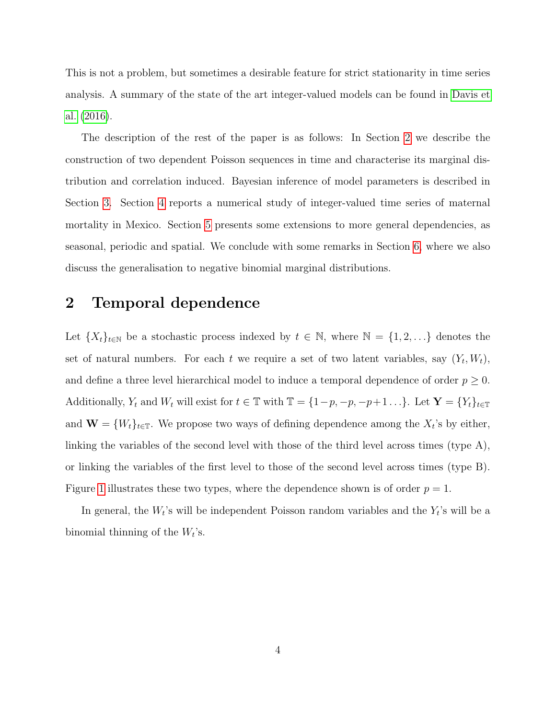This is not a problem, but sometimes a desirable feature for strict stationarity in time series analysis. A summary of the state of the art integer-valued models can be found in [Davis et](#page-17-8) [al.](#page-17-8) [\(2016\)](#page-17-8).

The description of the rest of the paper is as follows: In Section [2](#page-3-0) we describe the construction of two dependent Poisson sequences in time and characterise its marginal distribution and correlation induced. Bayesian inference of model parameters is described in Section [3.](#page-8-0) Section [4](#page-9-0) reports a numerical study of integer-valued time series of maternal mortality in Mexico. Section [5](#page-12-0) presents some extensions to more general dependencies, as seasonal, periodic and spatial. We conclude with some remarks in Section [6,](#page-14-0) where we also discuss the generalisation to negative binomial marginal distributions.

# <span id="page-3-0"></span>2 Temporal dependence

Let  $\{X_t\}_{t\in\mathbb{N}}$  be a stochastic process indexed by  $t \in \mathbb{N}$ , where  $\mathbb{N} = \{1, 2, ...\}$  denotes the set of natural numbers. For each t we require a set of two latent variables, say  $(Y_t, W_t)$ , and define a three level hierarchical model to induce a temporal dependence of order  $p \geq 0$ . Additionally,  $Y_t$  and  $W_t$  will exist for  $t \in \mathbb{T}$  with  $\mathbb{T} = \{1-p, -p, -p+1 \dots\}$ . Let  $\mathbf{Y} = \{Y_t\}_{t \in \mathbb{T}}$ and  $\mathbf{W} = \{W_t\}_{t \in \mathbb{T}}$ . We propose two ways of defining dependence among the  $X_t$ 's by either, linking the variables of the second level with those of the third level across times (type A), or linking the variables of the first level to those of the second level across times (type B). Figure [1](#page-4-0) illustrates these two types, where the dependence shown is of order  $p = 1$ .

In general, the  $W_t$ 's will be independent Poisson random variables and the  $Y_t$ 's will be a binomial thinning of the  $W_t$ 's.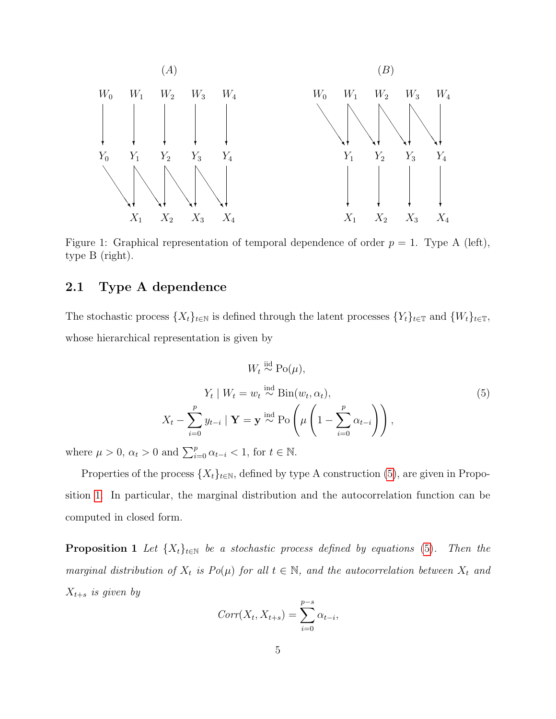<span id="page-4-0"></span>

Figure 1: Graphical representation of temporal dependence of order  $p = 1$ . Type A (left), type B (right).

#### 2.1 Type A dependence

The stochastic process  $\{X_t\}_{t\in\mathbb{N}}$  is defined through the latent processes  $\{Y_t\}_{t\in\mathbb{T}}$  and  $\{W_t\}_{t\in\mathbb{T}}$ , whose hierarchical representation is given by

<span id="page-4-1"></span>
$$
W_t \stackrel{\text{iid}}{\sim} \text{Po}(\mu),
$$
  

$$
Y_t | W_t = w_t \stackrel{\text{ind}}{\sim} \text{Bin}(w_t, \alpha_t),
$$
  

$$
X_t - \sum_{i=0}^p y_{t-i} | \mathbf{Y} = \mathbf{y} \stackrel{\text{ind}}{\sim} \text{Po}\left(\mu\left(1 - \sum_{i=0}^p \alpha_{t-i}\right)\right),
$$
 (5)

where  $\mu > 0$ ,  $\alpha_t > 0$  and  $\sum_{i=0}^{p} \alpha_{t-i} < 1$ , for  $t \in \mathbb{N}$ .

Properties of the process  $\{X_t\}_{t\in\mathbb{N}}$ , defined by type A construction [\(5\)](#page-4-1), are given in Proposition [1.](#page-4-2) In particular, the marginal distribution and the autocorrelation function can be computed in closed form.

<span id="page-4-2"></span>**Proposition 1** Let  $\{X_t\}_{t\in\mathbb{N}}$  be a stochastic process defined by equations [\(5\)](#page-4-1). Then the marginal distribution of  $X_t$  is  $Po(\mu)$  for all  $t \in \mathbb{N}$ , and the autocorrelation between  $X_t$  and  $X_{t+s}$  is given by

$$
Corr(X_t, X_{t+s}) = \sum_{i=0}^{p-s} \alpha_{t-i},
$$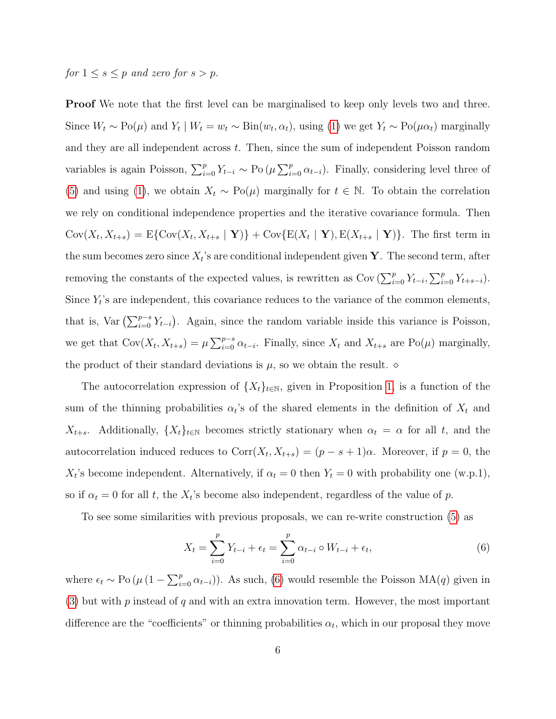# for  $1 \leq s \leq p$  and zero for  $s > p$ .

**Proof** We note that the first level can be marginalised to keep only levels two and three. Since  $W_t \sim Po(\mu)$  and  $Y_t \mid W_t = w_t \sim Bin(w_t, \alpha_t)$ , using [\(1\)](#page-1-0) we get  $Y_t \sim Po(\mu \alpha_t)$  marginally and they are all independent across  $t$ . Then, since the sum of independent Poisson random variables is again Poisson,  $\sum_{i=0}^{p} Y_{t-i} \sim \text{Po}(\mu \sum_{i=0}^{p} \alpha_{t-i})$ . Finally, considering level three of [\(5\)](#page-4-1) and using [\(1\)](#page-1-0), we obtain  $X_t \sim Po(\mu)$  marginally for  $t \in \mathbb{N}$ . To obtain the correlation we rely on conditional independence properties and the iterative covariance formula. Then  $Cov(X_t, X_{t+s}) = E\{Cov(X_t, X_{t+s} | \mathbf{Y})\} + Cov\{E(X_t | \mathbf{Y}), E(X_{t+s} | \mathbf{Y})\}$ . The first term in the sum becomes zero since  $X_t$ 's are conditional independent given Y. The second term, after removing the constants of the expected values, is rewritten as  $Cov \left( \sum_{i=0}^p Y_{t-i}, \sum_{i=0}^p Y_{t+s-i} \right)$ . Since  $Y_t$ 's are independent, this covariance reduces to the variance of the common elements, that is, Var  $(\sum_{i=0}^{p-s} Y_{t-i})$ . Again, since the random variable inside this variance is Poisson, we get that  $Cov(X_t, X_{t+s}) = \mu \sum_{i=0}^{p-s} \alpha_{t-i}$ . Finally, since  $X_t$  and  $X_{t+s}$  are  $Po(\mu)$  marginally, the product of their standard deviations is  $\mu$ , so we obtain the result.  $\diamond$ 

The autocorrelation expression of  $\{X_t\}_{t\in\mathbb{N}}$ , given in Proposition [1,](#page-4-2) is a function of the sum of the thinning probabilities  $\alpha_t$ 's of the shared elements in the definition of  $X_t$  and  $X_{t+s}$ . Additionally,  $\{X_t\}_{t\in\mathbb{N}}$  becomes strictly stationary when  $\alpha_t = \alpha$  for all t, and the autocorrelation induced reduces to  $Corr(X_t, X_{t+s}) = (p - s + 1)\alpha$ . Moreover, if  $p = 0$ , the  $X_t$ 's become independent. Alternatively, if  $\alpha_t = 0$  then  $Y_t = 0$  with probability one (w.p.1), so if  $\alpha_t = 0$  for all t, the  $X_t$ 's become also independent, regardless of the value of p.

To see some similarities with previous proposals, we can re-write construction [\(5\)](#page-4-1) as

<span id="page-5-0"></span>
$$
X_t = \sum_{i=0}^p Y_{t-i} + \epsilon_t = \sum_{i=0}^p \alpha_{t-i} \circ W_{t-i} + \epsilon_t,
$$
\n(6)

where  $\epsilon_t \sim \text{Po}(\mu(1-\sum_{i=0}^p \alpha_{t-i}))$ . As such, [\(6\)](#page-5-0) would resemble the Poisson MA(q) given in  $(3)$  but with p instead of q and with an extra innovation term. However, the most important difference are the "coefficients" or thinning probabilities  $\alpha_t$ , which in our proposal they move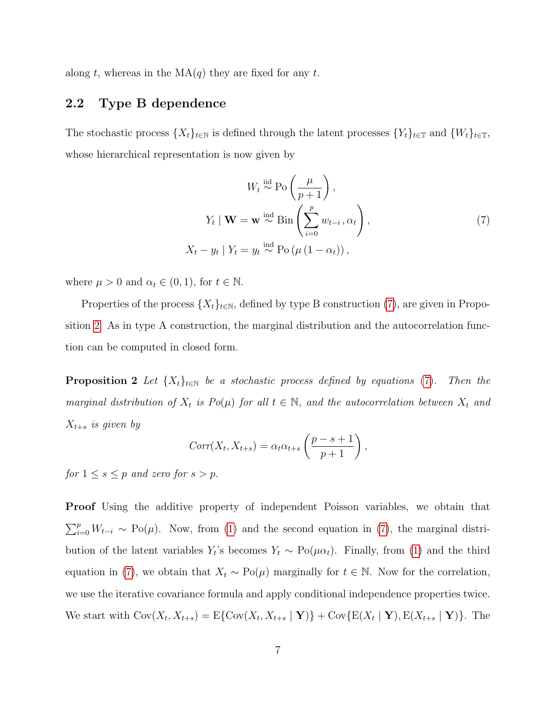along t, whereas in the  $MA(q)$  they are fixed for any t.

#### 2.2 Type B dependence

The stochastic process  $\{X_t\}_{t\in\mathbb{N}}$  is defined through the latent processes  $\{Y_t\}_{t\in\mathbb{N}}$  and  $\{W_t\}_{t\in\mathbb{N}}$ , whose hierarchical representation is now given by

<span id="page-6-0"></span>
$$
W_t \stackrel{\text{iid}}{\sim} \text{Po}\left(\frac{\mu}{p+1}\right),
$$
  

$$
Y_t \mid \mathbf{W} = \mathbf{w} \stackrel{\text{ind}}{\sim} \text{Bin}\left(\sum_{i=0}^p w_{t-i}, \alpha_t\right),
$$
  

$$
X_t - y_t \mid Y_t = y_t \stackrel{\text{ind}}{\sim} \text{Po}\left(\mu\left(1 - \alpha_t\right)\right),
$$
 (7)

where  $\mu > 0$  and  $\alpha_t \in (0, 1)$ , for  $t \in \mathbb{N}$ .

Properties of the process  $\{X_t\}_{t\in\mathbb{N}}$ , defined by type B construction [\(7\)](#page-6-0), are given in Proposition [2.](#page-6-1) As in type A construction, the marginal distribution and the autocorrelation function can be computed in closed form.

<span id="page-6-1"></span>**Proposition 2** Let  $\{X_t\}_{t\in\mathbb{N}}$  be a stochastic process defined by equations [\(7\)](#page-6-0). Then the marginal distribution of  $X_t$  is  $Po(\mu)$  for all  $t \in \mathbb{N}$ , and the autocorrelation between  $X_t$  and  $X_{t+s}$  is given by

$$
Corr(X_t, X_{t+s}) = \alpha_t \alpha_{t+s} \left( \frac{p-s+1}{p+1} \right),
$$

for  $1 \leq s \leq p$  and zero for  $s > p$ .

Proof Using the additive property of independent Poisson variables, we obtain that  $\sum_{i=0}^{p} W_{t-i} \sim Po(\mu)$ . Now, from [\(1\)](#page-1-0) and the second equation in [\(7\)](#page-6-0), the marginal distribution of the latent variables  $Y_t$ 's becomes  $Y_t \sim Po(\mu \alpha_t)$ . Finally, from [\(1\)](#page-1-0) and the third equation in [\(7\)](#page-6-0), we obtain that  $X_t \sim Po(\mu)$  marginally for  $t \in \mathbb{N}$ . Now for the correlation, we use the iterative covariance formula and apply conditional independence properties twice. We start with  $Cov(X_t, X_{t+s}) = E\{Cov(X_t, X_{t+s} | \mathbf{Y})\} + Cov\{E(X_t | \mathbf{Y}), E(X_{t+s} | \mathbf{Y})\}$ . The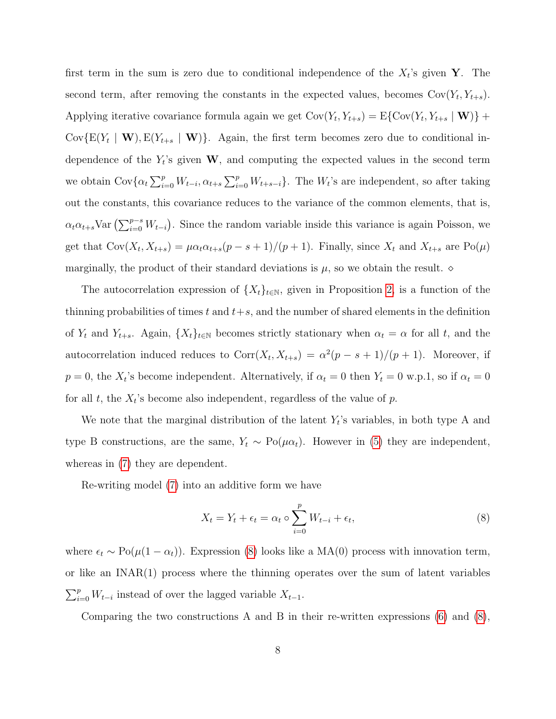first term in the sum is zero due to conditional independence of the  $X_t$ 's given Y. The second term, after removing the constants in the expected values, becomes  $Cov(Y_t, Y_{t+s})$ . Applying iterative covariance formula again we get  $Cov(Y_t, Y_{t+s}) = E\{Cov(Y_t, Y_{t+s} | \mathbf{W})\}$  + Cov $\{E(Y_t | \mathbf{W}), E(Y_{t+s} | \mathbf{W})\}$ . Again, the first term becomes zero due to conditional independence of the  $Y_t$ 's given W, and computing the expected values in the second term we obtain  $Cov\{\alpha_t\sum_{i=0}^p W_{t-i}, \alpha_{t+s}\sum_{i=0}^p W_{t+s-i}\}.$  The  $W_t$ 's are independent, so after taking out the constants, this covariance reduces to the variance of the common elements, that is,  $\alpha_t \alpha_{t+s}$ Var  $\left(\sum_{i=0}^{p-s} W_{t-i}\right)$ . Since the random variable inside this variance is again Poisson, we get that  $Cov(X_t, X_{t+s}) = \mu \alpha_t \alpha_{t+s} (p - s + 1)/(p + 1)$ . Finally, since  $X_t$  and  $X_{t+s}$  are  $Po(\mu)$ marginally, the product of their standard deviations is  $\mu$ , so we obtain the result.  $\diamond$ 

The autocorrelation expression of  $\{X_t\}_{t\in\mathbb{N}}$ , given in Proposition [2,](#page-6-1) is a function of the thinning probabilities of times t and  $t+s$ , and the number of shared elements in the definition of  $Y_t$  and  $Y_{t+s}$ . Again,  $\{X_t\}_{t\in\mathbb{N}}$  becomes strictly stationary when  $\alpha_t = \alpha$  for all t, and the autocorrelation induced reduces to  $Corr(X_t, X_{t+s}) = \alpha^2(p - s + 1)/(p + 1)$ . Moreover, if  $p = 0$ , the  $X_t$ 's become independent. Alternatively, if  $\alpha_t = 0$  then  $Y_t = 0$  w.p.1, so if  $\alpha_t = 0$ for all  $t$ , the  $X_t$ 's become also independent, regardless of the value of  $p$ .

We note that the marginal distribution of the latent  $Y_t$ 's variables, in both type A and type B constructions, are the same,  $Y_t \sim Po(\mu \alpha_t)$ . However in [\(5\)](#page-4-1) they are independent, whereas in [\(7\)](#page-6-0) they are dependent.

Re-writing model [\(7\)](#page-6-0) into an additive form we have

<span id="page-7-0"></span>
$$
X_t = Y_t + \epsilon_t = \alpha_t \circ \sum_{i=0}^p W_{t-i} + \epsilon_t,
$$
\n
$$
(8)
$$

where  $\epsilon_t \sim Po(\mu(1 - \alpha_t))$ . Expression [\(8\)](#page-7-0) looks like a MA(0) process with innovation term, or like an INAR(1) process where the thinning operates over the sum of latent variables  $\sum_{i=0}^{p} W_{t-i}$  instead of over the lagged variable  $X_{t-1}$ .

Comparing the two constructions A and B in their re-written expressions  $(6)$  and  $(8)$ ,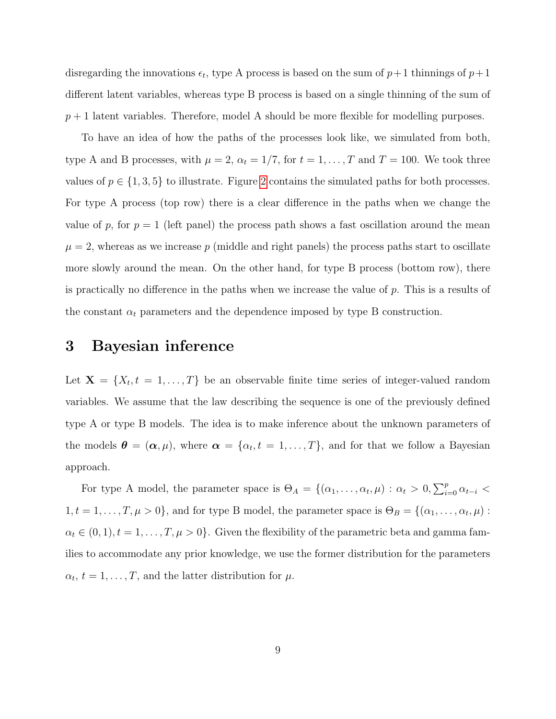disregarding the innovations  $\epsilon_t$ , type A process is based on the sum of  $p+1$  thinnings of  $p+1$ different latent variables, whereas type B process is based on a single thinning of the sum of  $p+1$  latent variables. Therefore, model A should be more flexible for modelling purposes.

To have an idea of how the paths of the processes look like, we simulated from both, type A and B processes, with  $\mu = 2$ ,  $\alpha_t = 1/7$ , for  $t = 1, ..., T$  and  $T = 100$ . We took three values of  $p \in \{1, 3, 5\}$  to illustrate. Figure [2](#page-19-0) contains the simulated paths for both processes. For type A process (top row) there is a clear difference in the paths when we change the value of p, for  $p = 1$  (left panel) the process path shows a fast oscillation around the mean  $\mu = 2$ , whereas as we increase p (middle and right panels) the process paths start to oscillate more slowly around the mean. On the other hand, for type B process (bottom row), there is practically no difference in the paths when we increase the value of  $p$ . This is a results of the constant  $\alpha_t$  parameters and the dependence imposed by type B construction.

### <span id="page-8-0"></span>3 Bayesian inference

Let  $X = \{X_t, t = 1, \ldots, T\}$  be an observable finite time series of integer-valued random variables. We assume that the law describing the sequence is one of the previously defined type A or type B models. The idea is to make inference about the unknown parameters of the models  $\boldsymbol{\theta} = (\boldsymbol{\alpha}, \mu)$ , where  $\boldsymbol{\alpha} = \{\alpha_t, t = 1, \dots, T\}$ , and for that we follow a Bayesian approach.

For type A model, the parameter space is  $\Theta_A = \{(\alpha_1, \ldots, \alpha_t, \mu) : \alpha_t > 0, \sum_{i=0}^p \alpha_{t-i} <$  $1, t = 1, \ldots, T, \mu > 0$ , and for type B model, the parameter space is  $\Theta_B = \{(\alpha_1, \ldots, \alpha_t, \mu) :$  $\alpha_t \in (0, 1), t = 1, \ldots, T, \mu > 0$ . Given the flexibility of the parametric beta and gamma families to accommodate any prior knowledge, we use the former distribution for the parameters  $\alpha_t, t = 1, \ldots, T$ , and the latter distribution for  $\mu$ .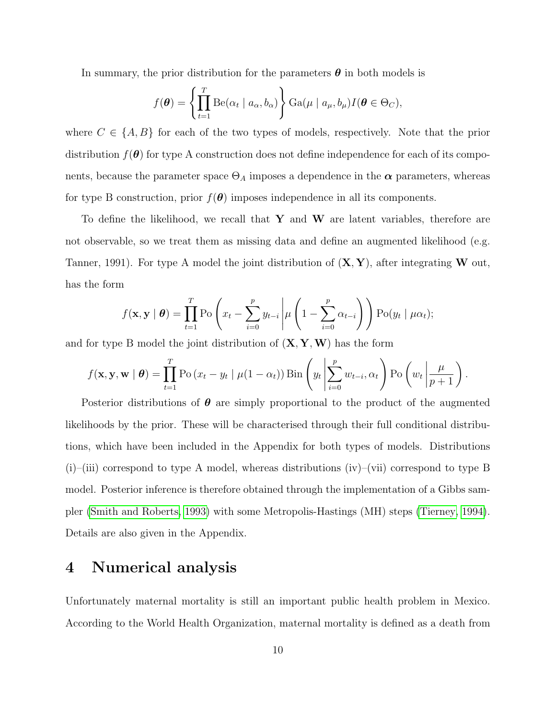In summary, the prior distribution for the parameters  $\boldsymbol{\theta}$  in both models is

$$
f(\boldsymbol{\theta}) = \left\{ \prod_{t=1}^{T} \mathrm{Be}(\alpha_t \mid a_{\alpha}, b_{\alpha}) \right\} \mathrm{Ga}(\mu \mid a_{\mu}, b_{\mu}) I(\boldsymbol{\theta} \in \Theta_C),
$$

where  $C \in \{A, B\}$  for each of the two types of models, respectively. Note that the prior distribution  $f(\theta)$  for type A construction does not define independence for each of its components, because the parameter space  $\Theta_A$  imposes a dependence in the  $\alpha$  parameters, whereas for type B construction, prior  $f(\theta)$  imposes independence in all its components.

To define the likelihood, we recall that  $Y$  and  $W$  are latent variables, therefore are not observable, so we treat them as missing data and define an augmented likelihood (e.g. Tanner, 1991). For type A model the joint distribution of  $(X, Y)$ , after integrating W out, has the form

$$
f(\mathbf{x}, \mathbf{y} \mid \boldsymbol{\theta}) = \prod_{t=1}^{T} \mathrm{Po}\left(x_t - \sum_{i=0}^{p} y_{t-i} \middle| \mu\left(1 - \sum_{i=0}^{p} \alpha_{t-i}\right)\right) \mathrm{Po}(y_t \mid \mu \alpha_t);
$$

and for type B model the joint distribution of  $(X, Y, W)$  has the form

$$
f(\mathbf{x}, \mathbf{y}, \mathbf{w} \mid \boldsymbol{\theta}) = \prod_{t=1}^{T} \mathrm{Po}\left(x_t - y_t \mid \mu(1-\alpha_t)\right) \mathrm{Bin}\left(y_t \middle| \sum_{i=0}^{p} w_{t-i}, \alpha_t\right) \mathrm{Po}\left(w_t \middle| \frac{\mu}{p+1}\right).
$$

Posterior distributions of  $\theta$  are simply proportional to the product of the augmented likelihoods by the prior. These will be characterised through their full conditional distributions, which have been included in the Appendix for both types of models. Distributions  $(i)$ –(iii) correspond to type A model, whereas distributions (iv)–(vii) correspond to type B model. Posterior inference is therefore obtained through the implementation of a Gibbs sampler [\(Smith and Roberts, 1993\)](#page-18-2) with some Metropolis-Hastings (MH) steps [\(Tierney, 1994\)](#page-18-3). Details are also given in the Appendix.

# <span id="page-9-0"></span>4 Numerical analysis

Unfortunately maternal mortality is still an important public health problem in Mexico. According to the World Health Organization, maternal mortality is defined as a death from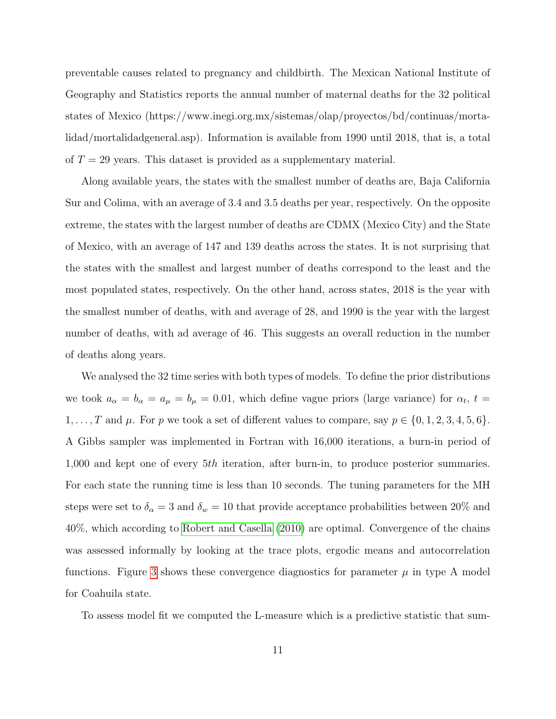preventable causes related to pregnancy and childbirth. The Mexican National Institute of Geography and Statistics reports the annual number of maternal deaths for the 32 political states of Mexico (https://www.inegi.org.mx/sistemas/olap/proyectos/bd/continuas/mortalidad/mortalidadgeneral.asp). Information is available from 1990 until 2018, that is, a total of  $T = 29$  years. This dataset is provided as a supplementary material.

Along available years, the states with the smallest number of deaths are, Baja California Sur and Colima, with an average of 3.4 and 3.5 deaths per year, respectively. On the opposite extreme, the states with the largest number of deaths are CDMX (Mexico City) and the State of Mexico, with an average of 147 and 139 deaths across the states. It is not surprising that the states with the smallest and largest number of deaths correspond to the least and the most populated states, respectively. On the other hand, across states, 2018 is the year with the smallest number of deaths, with and average of 28, and 1990 is the year with the largest number of deaths, with ad average of 46. This suggests an overall reduction in the number of deaths along years.

We analysed the 32 time series with both types of models. To define the prior distributions we took  $a_{\alpha} = b_{\alpha} = a_{\mu} = b_{\mu} = 0.01$ , which define vague priors (large variance) for  $\alpha_t$ ,  $t =$  $1, \ldots, T$  and  $\mu$ . For p we took a set of different values to compare, say  $p \in \{0, 1, 2, 3, 4, 5, 6\}$ . A Gibbs sampler was implemented in Fortran with 16,000 iterations, a burn-in period of 1,000 and kept one of every 5th iteration, after burn-in, to produce posterior summaries. For each state the running time is less than 10 seconds. The tuning parameters for the MH steps were set to  $\delta_{\alpha} = 3$  and  $\delta_{w} = 10$  that provide acceptance probabilities between 20% and 40%, which according to [Robert and Casella](#page-18-4) [\(2010\)](#page-18-4) are optimal. Convergence of the chains was assessed informally by looking at the trace plots, ergodic means and autocorrelation functions. Figure [3](#page-20-0) shows these convergence diagnostics for parameter  $\mu$  in type A model for Coahuila state.

To assess model fit we computed the L-measure which is a predictive statistic that sum-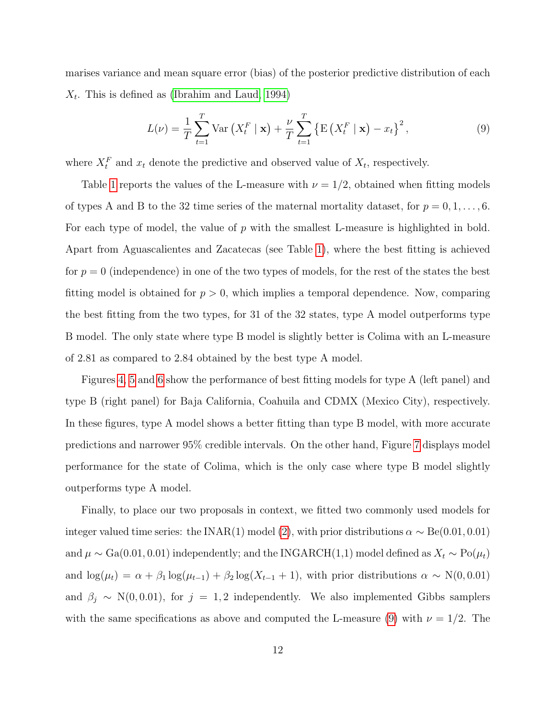marises variance and mean square error (bias) of the posterior predictive distribution of each  $X_t$ . This is defined as [\(Ibrahim and Laud, 1994\)](#page-18-5)

<span id="page-11-0"></span>
$$
L(\nu) = \frac{1}{T} \sum_{t=1}^{T} \text{Var}\left(X_t^F \mid \mathbf{x}\right) + \frac{\nu}{T} \sum_{t=1}^{T} \left\{ \text{E}\left(X_t^F \mid \mathbf{x}\right) - x_t \right\}^2,\tag{9}
$$

where  $X_t^F$  and  $x_t$  denote the predictive and observed value of  $X_t$ , respectively.

Table [1](#page-19-1) reports the values of the L-measure with  $\nu = 1/2$ , obtained when fitting models of types A and B to the 32 time series of the maternal mortality dataset, for  $p = 0, 1, \ldots, 6$ . For each type of model, the value of  $p$  with the smallest L-measure is highlighted in bold. Apart from Aguascalientes and Zacatecas (see Table [1\)](#page-19-1), where the best fitting is achieved for  $p = 0$  (independence) in one of the two types of models, for the rest of the states the best fitting model is obtained for  $p > 0$ , which implies a temporal dependence. Now, comparing the best fitting from the two types, for 31 of the 32 states, type A model outperforms type B model. The only state where type B model is slightly better is Colima with an L-measure of 2.81 as compared to 2.84 obtained by the best type A model.

Figures [4,](#page-21-0) [5](#page-21-1) and [6](#page-22-0) show the performance of best fitting models for type A (left panel) and type B (right panel) for Baja California, Coahuila and CDMX (Mexico City), respectively. In these figures, type A model shows a better fitting than type B model, with more accurate predictions and narrower 95% credible intervals. On the other hand, Figure [7](#page-22-1) displays model performance for the state of Colima, which is the only case where type B model slightly outperforms type A model.

Finally, to place our two proposals in context, we fitted two commonly used models for integer valued time series: the INAR(1) model [\(2\)](#page-1-1), with prior distributions  $\alpha \sim Be(0.01, 0.01)$ and  $\mu \sim Ga(0.01, 0.01)$  independently; and the INGARCH(1,1) model defined as  $X_t \sim Po(\mu_t)$ and  $\log(\mu_t) = \alpha + \beta_1 \log(\mu_{t-1}) + \beta_2 \log(X_{t-1} + 1)$ , with prior distributions  $\alpha \sim N(0, 0.01)$ and  $\beta_j \sim N(0, 0.01)$ , for  $j = 1, 2$  independently. We also implemented Gibbs samplers with the same specifications as above and computed the L-measure [\(9\)](#page-11-0) with  $\nu = 1/2$ . The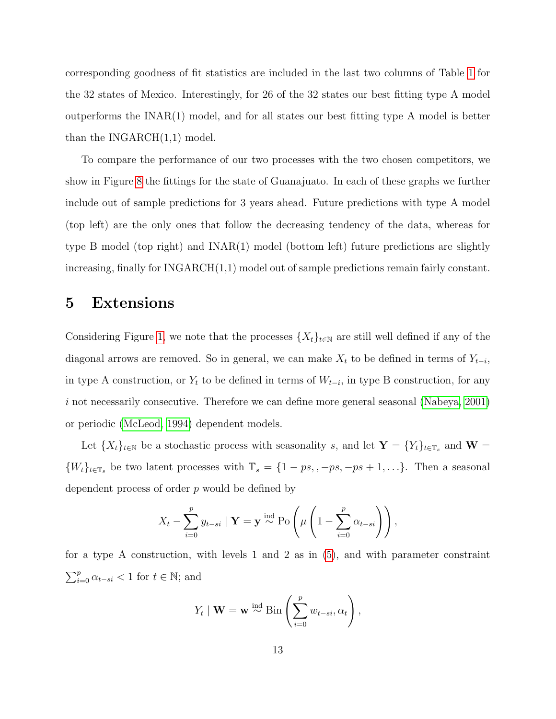corresponding goodness of fit statistics are included in the last two columns of Table [1](#page-19-1) for the 32 states of Mexico. Interestingly, for 26 of the 32 states our best fitting type A model outperforms the INAR(1) model, and for all states our best fitting type A model is better than the INGARCH(1,1) model.

To compare the performance of our two processes with the two chosen competitors, we show in Figure [8](#page-23-0) the fittings for the state of Guanajuato. In each of these graphs we further include out of sample predictions for 3 years ahead. Future predictions with type A model (top left) are the only ones that follow the decreasing tendency of the data, whereas for type B model (top right) and INAR(1) model (bottom left) future predictions are slightly increasing, finally for INGARCH(1,1) model out of sample predictions remain fairly constant.

### <span id="page-12-0"></span>5 Extensions

Considering Figure [1,](#page-4-0) we note that the processes  $\{X_t\}_{t\in\mathbb{N}}$  are still well defined if any of the diagonal arrows are removed. So in general, we can make  $X_t$  to be defined in terms of  $Y_{t-i}$ , in type A construction, or  $Y_t$  to be defined in terms of  $W_{t-i}$ , in type B construction, for any i not necessarily consecutive. Therefore we can define more general seasonal (Nabeya,  $2001$ ) or periodic [\(McLeod, 1994\)](#page-18-7) dependent models.

Let  $\{X_t\}_{t\in\mathbb{N}}$  be a stochastic process with seasonality s, and let  $\mathbf{Y} = \{Y_t\}_{t\in\mathbb{T}_s}$  and  $\mathbf{W} =$  $\{W_t\}_{t\in\mathbb{T}_s}$  be two latent processes with  $\mathbb{T}_s = \{1 - ps, -ps, -ps + 1, \ldots\}$ . Then a seasonal dependent process of order  $p$  would be defined by

$$
X_t - \sum_{i=0}^p y_{t-si} \mid \mathbf{Y} = \mathbf{y} \stackrel{\text{ind}}{\sim} \text{Po}\left(\mu\left(1 - \sum_{i=0}^p \alpha_{t-si}\right)\right),
$$

for a type A construction, with levels 1 and 2 as in [\(5\)](#page-4-1), and with parameter constraint  $\sum_{i=0}^{p} \alpha_{t-si} < 1$  for  $t \in \mathbb{N}$ ; and

$$
Y_t | \mathbf{W} = \mathbf{w} \stackrel{\text{ind}}{\sim} \text{Bin}\left(\sum_{i=0}^p w_{t-si}, \alpha_t\right),
$$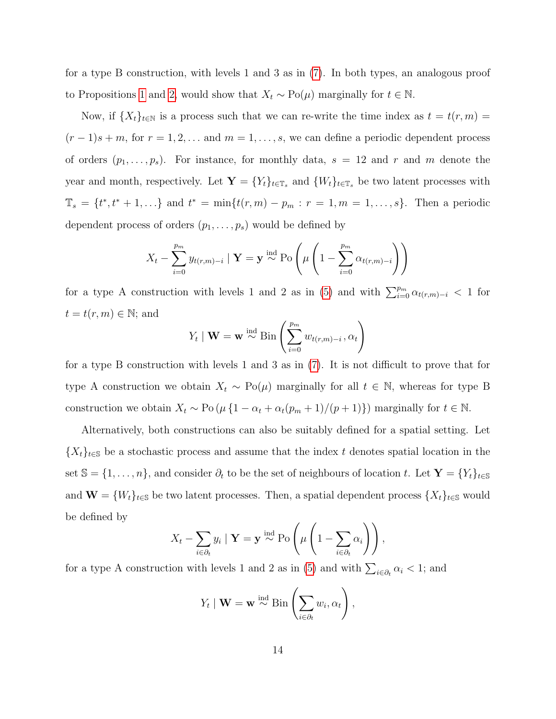for a type B construction, with levels 1 and 3 as in [\(7\)](#page-6-0). In both types, an analogous proof to Propositions [1](#page-4-2) and [2,](#page-6-1) would show that  $X_t \sim Po(\mu)$  marginally for  $t \in \mathbb{N}$ .

Now, if  $\{X_t\}_{t\in\mathbb{N}}$  is a process such that we can re-write the time index as  $t = t(r, m)$  $(r-1)s+m$ , for  $r=1,2,...$  and  $m=1,...,s$ , we can define a periodic dependent process of orders  $(p_1, \ldots, p_s)$ . For instance, for monthly data,  $s = 12$  and r and m denote the year and month, respectively. Let  $\mathbf{Y} = \{Y_t\}_{t \in \mathbb{T}_s}$  and  $\{W_t\}_{t \in \mathbb{T}_s}$  be two latent processes with  $\mathbb{T}_s = \{t^*, t^* + 1, ...\}$  and  $t^* = \min\{t(r, m) - p_m : r = 1, m = 1, ..., s\}$ . Then a periodic dependent process of orders  $(p_1, \ldots, p_s)$  would be defined by

$$
X_t - \sum_{i=0}^{p_m} y_{t(r,m)-i} \mid \mathbf{Y} = \mathbf{y} \stackrel{\text{ind}}{\sim} \text{Po}\left(\mu\left(1 - \sum_{i=0}^{p_m} \alpha_{t(r,m)-i}\right)\right)
$$

for a type A construction with levels 1 and 2 as in [\(5\)](#page-4-1) and with  $\sum_{i=0}^{p_m} \alpha_{t(r,m)-i} < 1$  for  $t = t(r, m) \in \mathbb{N}$ ; and

$$
Y_t \mid \mathbf{W} = \mathbf{w} \stackrel{\text{ind}}{\sim} \text{Bin}\left(\sum_{i=0}^{p_m} w_{t(r,m)-i}, \alpha_t\right)
$$

for a type B construction with levels 1 and 3 as in [\(7\)](#page-6-0). It is not difficult to prove that for type A construction we obtain  $X_t \sim Po(\mu)$  marginally for all  $t \in \mathbb{N}$ , whereas for type B construction we obtain  $X_t \sim \text{Po}(\mu \{1 - \alpha_t + \alpha_t(p_m + 1)/(p + 1)\})$  marginally for  $t \in \mathbb{N}$ .

Alternatively, both constructions can also be suitably defined for a spatial setting. Let  ${X_t}_{t\in\mathbb{S}}$  be a stochastic process and assume that the index t denotes spatial location in the set  $\mathbb{S} = \{1, \ldots, n\}$ , and consider  $\partial_t$  to be the set of neighbours of location t. Let  $\mathbf{Y} = \{Y_t\}_{t \in \mathbb{S}}$ and  $\mathbf{W} = \{W_t\}_{t\in\mathbb{S}}$  be two latent processes. Then, a spatial dependent process  $\{X_t\}_{t\in\mathbb{S}}$  would be defined by

$$
X_t - \sum_{i \in \partial_t} y_i \mid \mathbf{Y} = \mathbf{y} \stackrel{\text{ind}}{\sim} \text{Po}\left(\mu\left(1 - \sum_{i \in \partial_t} \alpha_i\right)\right),
$$

for a type A construction with levels 1 and 2 as in [\(5\)](#page-4-1) and with  $\sum_{i \in \partial_t} \alpha_i < 1$ ; and

$$
Y_t | \mathbf{W} = \mathbf{w} \stackrel{\text{ind}}{\sim} \text{Bin}\left(\sum_{i \in \partial_t} w_i, \alpha_t\right),
$$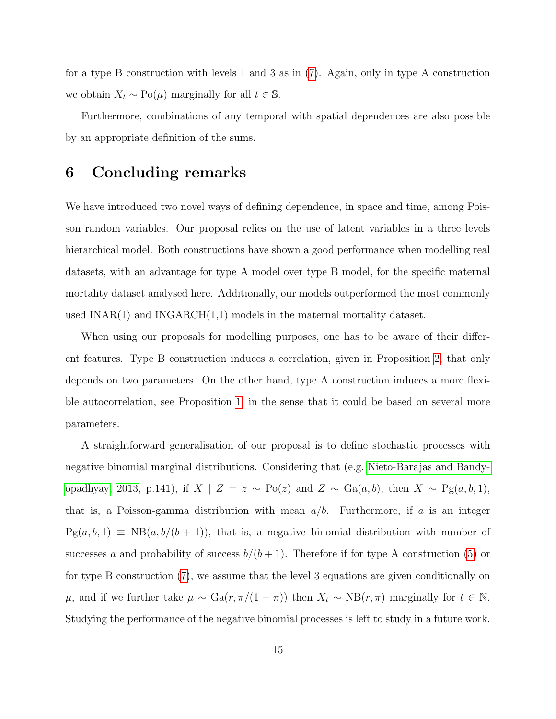for a type B construction with levels 1 and 3 as in [\(7\)](#page-6-0). Again, only in type A construction we obtain  $X_t \sim Po(\mu)$  marginally for all  $t \in \mathbb{S}$ .

Furthermore, combinations of any temporal with spatial dependences are also possible by an appropriate definition of the sums.

## <span id="page-14-0"></span>6 Concluding remarks

We have introduced two novel ways of defining dependence, in space and time, among Poisson random variables. Our proposal relies on the use of latent variables in a three levels hierarchical model. Both constructions have shown a good performance when modelling real datasets, with an advantage for type A model over type B model, for the specific maternal mortality dataset analysed here. Additionally, our models outperformed the most commonly used  $INAR(1)$  and  $INGARCH(1,1)$  models in the maternal mortality dataset.

When using our proposals for modelling purposes, one has to be aware of their different features. Type B construction induces a correlation, given in Proposition [2,](#page-6-1) that only depends on two parameters. On the other hand, type A construction induces a more flexible autocorrelation, see Proposition [1,](#page-4-2) in the sense that it could be based on several more parameters.

A straightforward generalisation of our proposal is to define stochastic processes with negative binomial marginal distributions. Considering that (e.g. [Nieto-Barajas and Bandy](#page-18-8)[opadhyay, 2013,](#page-18-8) p.141), if  $X \mid Z = z \sim Po(z)$  and  $Z \sim Ga(a, b)$ , then  $X \sim Po(a, b, 1)$ , that is, a Poisson-gamma distribution with mean  $a/b$ . Furthermore, if a is an integer  $Pg(a, b, 1) \equiv NB(a, b/(b + 1))$ , that is, a negative binomial distribution with number of successes a and probability of success  $b/(b+1)$ . Therefore if for type A construction [\(5\)](#page-4-1) or for type B construction [\(7\)](#page-6-0), we assume that the level 3 equations are given conditionally on  $\mu$ , and if we further take  $\mu \sim \text{Ga}(r, \pi/(1 - \pi))$  then  $X_t \sim \text{NB}(r, \pi)$  marginally for  $t \in \mathbb{N}$ . Studying the performance of the negative binomial processes is left to study in a future work.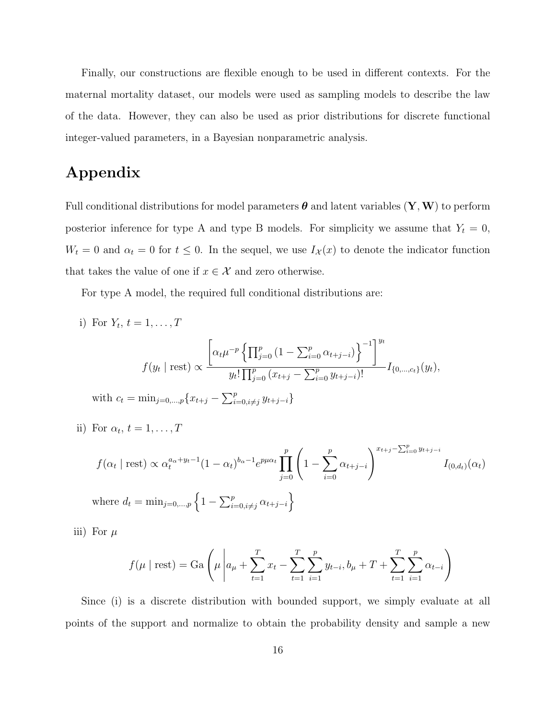Finally, our constructions are flexible enough to be used in different contexts. For the maternal mortality dataset, our models were used as sampling models to describe the law of the data. However, they can also be used as prior distributions for discrete functional integer-valued parameters, in a Bayesian nonparametric analysis.

# Appendix

Full conditional distributions for model parameters  $\theta$  and latent variables  $(Y, W)$  to perform posterior inference for type A and type B models. For simplicity we assume that  $Y_t = 0$ ,  $W_t = 0$  and  $\alpha_t = 0$  for  $t \leq 0$ . In the sequel, we use  $I_{\mathcal{X}}(x)$  to denote the indicator function that takes the value of one if  $x \in \mathcal{X}$  and zero otherwise.

For type A model, the required full conditional distributions are:

i) For 
$$
Y_t
$$
,  $t = 1, ..., T$   
\n
$$
f(y_t \mid \text{rest}) \propto \frac{\left[\alpha_t \mu^{-p} \left\{\prod_{j=0}^p (1 - \sum_{i=0}^p \alpha_{t+j-i})\right\}^{-1}\right]^{y_t}}{y_t! \prod_{j=0}^p (x_{t+j} - \sum_{i=0}^p y_{t+j-i})!} I_{\{0,...,c_t\}}(y_t),
$$
\nwith  $c_t = \min_{j=0,...,p} \{x_{t+j} - \sum_{i=0, i \neq j}^p y_{t+j-i}\}$ 

ii) For 
$$
\alpha_t
$$
,  $t = 1, \ldots, T$ 

$$
f(\alpha_t | \text{rest}) \propto \alpha_t^{a_{\alpha} + y_t - 1} (1 - \alpha_t)^{b_{\alpha} - 1} e^{p \mu \alpha_t} \prod_{j=0}^p \left( 1 - \sum_{i=0}^p \alpha_{t+j-i} \right)^{x_{t+j} - \sum_{i=0}^p y_{t+j-i}} I_{(0,d_t)}(\alpha_t)
$$
  
where  $d_t = \min_{j=0,\dots,p} \left\{ 1 - \sum_{i=0, i \neq j}^p \alpha_{t+j-i} \right\}$ 

iii) For  $\mu$ 

$$
f(\mu \mid \text{rest}) = \text{Ga}\left(\mu \middle| a_{\mu} + \sum_{t=1}^{T} x_t - \sum_{t=1}^{T} \sum_{i=1}^{p} y_{t-i}, b_{\mu} + T + \sum_{t=1}^{T} \sum_{i=1}^{p} \alpha_{t-i}\right)
$$

Since (i) is a discrete distribution with bounded support, we simply evaluate at all points of the support and normalize to obtain the probability density and sample a new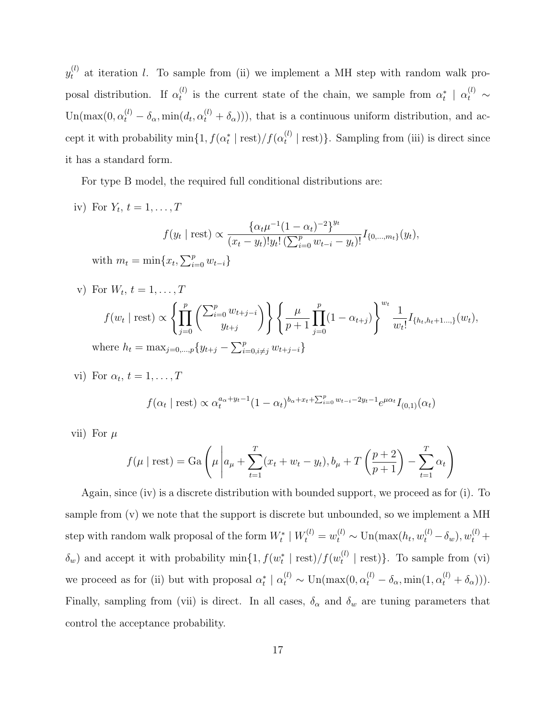$y_t^{(l)}$  at iteration l. To sample from (ii) we implement a MH step with random walk proposal distribution. If  $\alpha_t^{(l)}$  $\alpha_t^{(l)}$  is the current state of the chain, we sample from  $\alpha_t^*$  |  $\alpha_t^{(l)}$  ~ Un(max(0,  $\alpha_t^{(l)} - \delta_\alpha$ , min( $d_t$ ,  $\alpha_t^{(l)} + \delta_\alpha$ ))), that is a continuous uniform distribution, and accept it with probability  $\min\{1, f(\alpha_t^* \mid \text{rest})/f(\alpha_t^{(l)})\}$  $_t^{(t)}$  | rest) }. Sampling from (iii) is direct since it has a standard form.

For type B model, the required full conditional distributions are:

iv) For  $Y_t$ ,  $t = 1, \ldots, T$ 

$$
f(y_t | \text{rest}) \propto \frac{\{\alpha_t \mu^{-1} (1 - \alpha_t)^{-2}\}^{y_t}}{(x_t - y_t)! y_t! \left(\sum_{i=0}^p w_{t-i} - y_t\right)!} I_{\{0,\dots,m_t\}}(y_t),
$$
  

$$
\min\{x_t, \sum_{i=0}^p w_{t-i}\}
$$

with  $m_t = \min\{x_t, \sum_{i=0}^p w_{t-i}\}\$ 

v) For 
$$
W_t
$$
,  $t = 1, ..., T$   
\n
$$
f(w_t | \text{rest}) \propto \left\{ \prod_{j=0}^p \left( \sum_{i=0}^{p} w_{t+j-i} \right) \right\} \left\{ \frac{\mu}{p+1} \prod_{j=0}^p (1 - \alpha_{t+j}) \right\}^{w_t} \frac{1}{w_t!} I_{\{h_t, h_t+1, ..., \}}(w_t),
$$
\nwhere  $h_t = \max_{j=0, ..., p} \{y_{t+j} - \sum_{i=0, i \neq j}^p w_{t+j-i} \}$ 

vi) For  $\alpha_t$ ,  $t = 1, \ldots, T$ 

$$
f(\alpha_t \mid \text{rest}) \propto \alpha_t^{a_\alpha + y_t - 1} (1 - \alpha_t)^{b_\alpha + x_t + \sum_{i=0}^p w_{t-i} - 2y_t - 1} e^{\mu \alpha_t} I_{(0,1)}(\alpha_t)
$$

vii) For  $\mu$ 

$$
f(\mu \mid \text{rest}) = \text{Ga}\left(\mu \middle| a_{\mu} + \sum_{t=1}^{T} (x_t + w_t - y_t), b_{\mu} + T\left(\frac{p+2}{p+1}\right) - \sum_{t=1}^{T} \alpha_t\right)
$$

Again, since (iv) is a discrete distribution with bounded support, we proceed as for (i). To sample from (v) we note that the support is discrete but unbounded, so we implement a MH step with random walk proposal of the form  $W_t^* \mid W_t^{(l)} = w_t^{(l)} \sim \text{Un}(\max(h_t, w_t^{(l)} - \delta_w), w_t^{(l)} +$  $\delta_w$ ) and accept it with probability  $\min\{1, f(w_t^* \mid \text{rest})/f(w_t^{(l)})\}$  $\binom{u}{t}$  | rest). To sample from (vi) we proceed as for (ii) but with proposal  $\alpha_t^* \mid \alpha_t^{(l)} \sim \text{Un}(\max(0, \alpha_t^{(l)} - \delta_\alpha, \min(1, \alpha_t^{(l)} + \delta_\alpha))).$ Finally, sampling from (vii) is direct. In all cases,  $\delta_{\alpha}$  and  $\delta_{w}$  are tuning parameters that control the acceptance probability.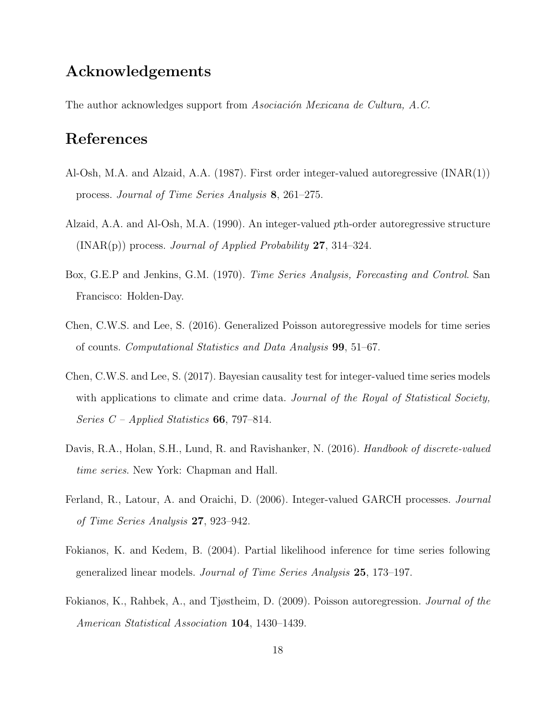# Acknowledgements

The author acknowledges support from Asociación Mexicana de Cultura, A.C.

# References

- <span id="page-17-1"></span>Al-Osh, M.A. and Alzaid, A.A. (1987). First order integer-valued autoregressive (INAR(1)) process. Journal of Time Series Analysis 8, 261–275.
- <span id="page-17-2"></span>Alzaid, A.A. and Al-Osh, M.A. (1990). An integer-valued pth-order autoregressive structure  $(INAR(p))$  process. *Journal of Applied Probability* 27, 314–324.
- <span id="page-17-0"></span>Box, G.E.P and Jenkins, G.M. (1970). Time Series Analysis, Forecasting and Control. San Francisco: Holden-Day.
- <span id="page-17-5"></span>Chen, C.W.S. and Lee, S. (2016). Generalized Poisson autoregressive models for time series of counts. Computational Statistics and Data Analysis 99, 51–67.
- <span id="page-17-6"></span>Chen, C.W.S. and Lee, S. (2017). Bayesian causality test for integer-valued time series models with applications to climate and crime data. Journal of the Royal of Statistical Society, Series  $C$  – Applied Statistics 66, 797–814.
- <span id="page-17-8"></span>Davis, R.A., Holan, S.H., Lund, R. and Ravishanker, N. (2016). Handbook of discrete-valued time series. New York: Chapman and Hall.
- <span id="page-17-7"></span>Ferland, R., Latour, A. and Oraichi, D. (2006). Integer-valued GARCH processes. Journal of Time Series Analysis 27, 923–942.
- <span id="page-17-3"></span>Fokianos, K. and Kedem, B. (2004). Partial likelihood inference for time series following generalized linear models. Journal of Time Series Analysis 25, 173–197.
- <span id="page-17-4"></span>Fokianos, K., Rahbek, A., and Tjøstheim, D. (2009). Poisson autoregression. Journal of the American Statistical Association 104, 1430–1439.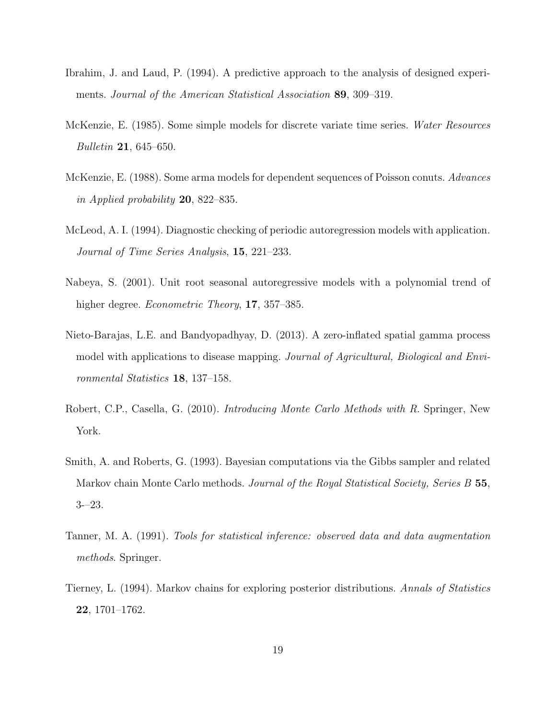- <span id="page-18-5"></span>Ibrahim, J. and Laud, P. (1994). A predictive approach to the analysis of designed experiments. Journal of the American Statistical Association 89, 309–319.
- <span id="page-18-0"></span>McKenzie, E. (1985). Some simple models for discrete variate time series. Water Resources Bulletin 21, 645–650.
- <span id="page-18-1"></span>McKenzie, E. (1988). Some arma models for dependent sequences of Poisson conuts. Advances in Applied probability 20, 822–835.
- <span id="page-18-7"></span>McLeod, A. I. (1994). Diagnostic checking of periodic autoregression models with application. Journal of Time Series Analysis, 15, 221–233.
- <span id="page-18-6"></span>Nabeya, S. (2001). Unit root seasonal autoregressive models with a polynomial trend of higher degree. *Econometric Theory*, **17**, 357–385.
- <span id="page-18-8"></span>Nieto-Barajas, L.E. and Bandyopadhyay, D. (2013). A zero-inflated spatial gamma process model with applications to disease mapping. Journal of Agricultural, Biological and Environmental Statistics 18, 137–158.
- <span id="page-18-4"></span>Robert, C.P., Casella, G. (2010). Introducing Monte Carlo Methods with R. Springer, New York.
- <span id="page-18-2"></span>Smith, A. and Roberts, G. (1993). Bayesian computations via the Gibbs sampler and related Markov chain Monte Carlo methods. Journal of the Royal Statistical Society, Series B 55, 3-–23.
- Tanner, M. A. (1991). Tools for statistical inference: observed data and data augmentation methods. Springer.
- <span id="page-18-3"></span>Tierney, L. (1994). Markov chains for exploring posterior distributions. Annals of Statistics 22, 1701–1762.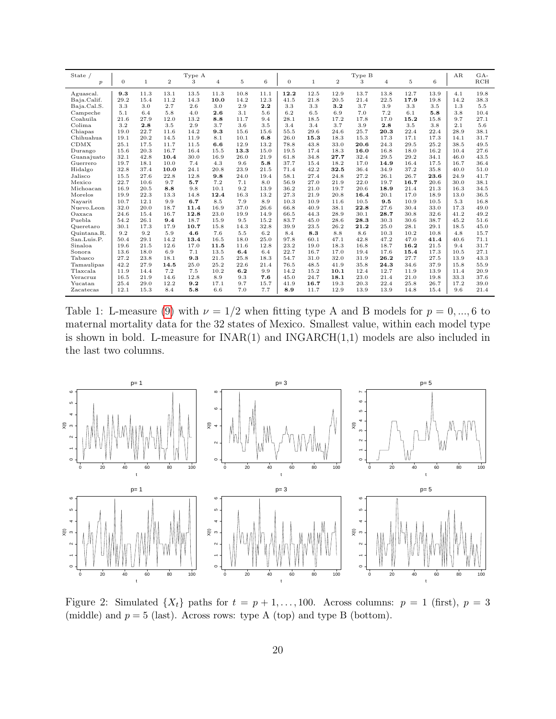<span id="page-19-1"></span>

| State $/$        |              | Type A       |                |      |                |         |      | Type B   |              |                |      |                |      |      | AR   | $GA-$ |
|------------------|--------------|--------------|----------------|------|----------------|---------|------|----------|--------------|----------------|------|----------------|------|------|------|-------|
| $\boldsymbol{p}$ | $\mathbf{0}$ | $\mathbf{1}$ | $\overline{2}$ | 3    | $\overline{4}$ | $\bf 5$ | 6    | $\theta$ | $\mathbf{1}$ | $\overline{2}$ | 3    | $\overline{4}$ | 5    | 6    |      | RCH   |
| Aguascal.        | 9.3          | 11.3         | 13.1           | 13.5 | 11.3           | 10.8    | 11.1 | 12.2     | 12.5         | 12.9           | 13.7 | 13.8           | 12.7 | 13.9 | 4.1  | 19.8  |
| Baja.Calif.      | 29.2         | 15.4         | 11.2           | 14.3 | 10.0           | 14.2    | 12.3 | 41.5     | 21.8         | 20.5           | 21.4 | 22.5           | 17.9 | 19.8 | 14.2 | 38.3  |
| Baja.Cal.S.      | 3.3          | 3.0          | 2.7            | 2.6  | 3.0            | 2.9     | 2.2  | 3.3      | 3.3          | 3.2            | 3.7  | 3.9            | 3.3  | 3.5  | 1.3  | 5.5   |
| Campeche         | 5.1          | 6.4          | 5.8            | 4.0  | 2.6            | 3.1     | 5.6  | 6.2      | 6.5          | 6.9            | 7.0  | 7.2            | 6.1  | 5.8  | 3.8  | 10.4  |
| Coahuila         | 21.6         | 27.9         | 12.0           | 13.2 | 8.8            | 11.7    | 9.4  | 28.1     | 18.5         | 17.2           | 17.8 | 17.0           | 15.2 | 15.8 | 9.7  | 27.1  |
| Colima           | 3.2          | 2.8          | 3.5            | 2.9  | 3.7            | 3.6     | 3.5  | 3.4      | 3.4          | 3.7            | 3.9  | 2.8            | 3.5  | 3.8  | 2.1  | 5.6   |
| Chiapas          | 19.0         | 22.7         | 11.6           | 14.2 | 9.3            | 15.6    | 15.6 | 55.5     | 29.6         | 24.6           | 25.7 | 20.3           | 22.4 | 22.4 | 28.9 | 38.1  |
| Chihuahua        | 19.1         | 20.2         | 14.5           | 11.9 | 8.1            | 10.1    | 6.8  | 26.0     | 15.3         | 18.3           | 15.3 | 17.3           | 17.1 | 17.3 | 14.1 | 31.7  |
| <b>CDMX</b>      | 25.1         | 17.5         | 11.7           | 11.5 | 6.6            | 12.9    | 13.2 | 78.8     | 43.8         | 33.0           | 20.6 | 24.3           | 29.5 | 25.2 | 38.5 | 49.5  |
| Durango          | 15.6         | 20.3         | 16.7           | 16.4 | 15.5           | 13.3    | 15.0 | 19.5     | 17.4         | 18.3           | 16.0 | 16.8           | 18.0 | 16.2 | 10.4 | 27.6  |
| Guanajuato       | 32.1         | 42.8         | 10.4           | 30.0 | 16.9           | 26.0    | 21.9 | 61.8     | 34.8         | 27.7           | 32.4 | 29.5           | 29.2 | 34.1 | 46.0 | 43.5  |
| Guerrero         | 19.7         | 18.1         | 10.0           | 7.4  | 4.3            | 9.6     | 5.8  | 37.7     | 15.4         | 18.2           | 17.0 | 14.9           | 16.4 | 17.5 | 16.7 | 36.4  |
| Hidalgo          | 32.8         | 37.4         | 10.0           | 24.1 | 20.8           | 23.9    | 21.5 | 71.4     | 42.2         | 32.5           | 36.4 | 34.9           | 37.2 | 35.8 | 40.0 | 51.0  |
| Jalisco          | 15.5         | 27.6         | 22.8           | 12.8 | 9.8            | 24.0    | 19.4 | 58.1     | 27.4         | 24.8           | 27.2 | 26.1           | 26.7 | 23.6 | 24.9 | 41.7  |
| Mexico           | 22.7         | 10.6         | 9.7            | 5.7  | 7.2            | 7.1     | 8.0  | 56.9     | 27.0         | 21.9           | 22.0 | 19.7           | 16.7 | 20.6 | 30.0 | 38.1  |
| Michoacan        | 16.9         | 20.5         | 8.8            | 9.8  | 10.1           | 9.2     | 13.9 | 36.2     | 21.0         | 19.7           | 20.6 | 18.9           | 21.4 | 21.3 | 16.3 | 34.5  |
| Morelos          | 19.9         | 22.3         | 13.3           | 14.8 | 12.4           | 16.3    | 13.2 | 27.3     | 21.9         | 20.8           | 16.4 | 20.1           | 17.0 | 18.9 | 13.0 | 36.5  |
| Navarit          | 10.7         | 12.1         | 9.9            | 6.7  | 8.5            | 7.9     | 8.9  | 10.3     | 10.9         | 11.6           | 10.5 | 9.5            | 10.9 | 10.5 | 5.3  | 16.8  |
| Nuevo.Leon       | 32.0         | 20.0         | 18.7           | 11.4 | 16.9           | 37.0    | 26.6 | 66.8     | 40.9         | 38.1           | 22.8 | 27.6           | 30.4 | 33.0 | 17.3 | 49.0  |
| Oaxaca           | 24.6         | 15.4         | 16.7           | 12.8 | 23.0           | 19.9    | 14.9 | 66.5     | 44.3         | 28.9           | 30.1 | 28.7           | 30.8 | 32.6 | 41.2 | 49.2  |
| Puebla           | 54.2         | 26.1         | 9.4            | 18.7 | 15.9           | 9.5     | 15.2 | 83.7     | 45.0         | 28.6           | 28.3 | 30.3           | 30.6 | 38.7 | 45.2 | 51.6  |
| Queretaro        | 30.1         | 17.3         | 17.9           | 10.7 | 15.8           | 14.3    | 32.8 | 39.9     | 23.5         | 26.2           | 21.2 | 25.0           | 28.1 | 29.1 | 18.5 | 45.0  |
| Quintana.R.      | 9.2          | 9.2          | 5.9            | 4.6  | 7.6            | 5.5     | 6.2  | 8.4      | 8.3          | 8.8            | 8.6  | 10.3           | 10.2 | 10.8 | 4.8  | 15.7  |
| San.Luis.P.      | 50.4         | 29.1         | 14.2           | 13.4 | 16.5           | 18.0    | 25.0 | 97.8     | 60.1         | 47.1           | 42.8 | 47.2           | 47.0 | 41.4 | 40.6 | 71.1  |
| Sinaloa          | 19.6         | 21.5         | 12.6           | 17.0 | 11.5           | 11.6    | 12.8 | 23.2     | 19.0         | 18.3           | 16.8 | 18.7           | 16.2 | 21.5 | 9.4  | 31.7  |
| Sonora           | 13.6         | 18.0         | 6.9            | 7.1  | 13.5           | 6.4     | 6.4  | 22.7     | 16.7         | 17.0           | 19.4 | 17.6           | 15.4 | 17.3 | 10.5 | 27.1  |
| Tabasco          | 27.2         | 23.8         | 18.1           | 9.3  | 21.5           | 25.8    | 18.3 | 54.7     | 31.0         | 32.0           | 31.9 | 26.2           | 27.7 | 27.5 | 13.9 | 43.3  |
| Tamaulipas       | 42.2         | 27.9         | 14.5           | 25.0 | 25.2           | 22.6    | 21.4 | 76.5     | 48.5         | 41.9           | 35.8 | 24.3           | 34.6 | 37.9 | 15.8 | 55.9  |
| Tlaxcala         | 11.9         | 14.4         | 7.2            | 7.5  | 10.2           | 6.2     | 9.9  | 14.2     | 15.2         | 10.1           | 12.4 | 12.7           | 11.9 | 13.9 | 11.4 | 20.9  |
| Veracruz         | 16.5         | 21.9         | 14.6           | 12.8 | 8.9            | 9.3     | 7.6  | 45.0     | 24.7         | 18.1           | 23.0 | 21.4           | 21.0 | 19.8 | 33.3 | 37.6  |
| Yucatan          | 25.4         | 29.0         | 12.2           | 9.2  | 17.1           | 9.7     | 15.7 | 41.9     | 16.7         | 19.3           | 20.3 | 22.4           | 25.8 | 26.7 | 17.2 | 39.0  |
| Zacatecas        | 12.1         | 15.3         | 8.4            | 5.8  | 6.6            | 7.0     | 7.7  | 8.9      | 11.7         | 12.9           | 13.9 | 13.9           | 14.8 | 15.4 | 9.6  | 21.4  |

Table 1: L-measure [\(9\)](#page-11-0) with  $\nu = 1/2$  when fitting type A and B models for  $p = 0, ..., 6$  to maternal mortality data for the 32 states of Mexico. Smallest value, within each model type is shown in bold. L-measure for  $INAR(1)$  and  $INGARCH(1,1)$  models are also included in the last two columns.

<span id="page-19-0"></span>

Figure 2: Simulated  $\{X_t\}$  paths for  $t = p + 1, \ldots, 100$ . Across columns:  $p = 1$  (first),  $p = 3$ (middle) and  $p = 5$  (last). Across rows: type A (top) and type B (bottom).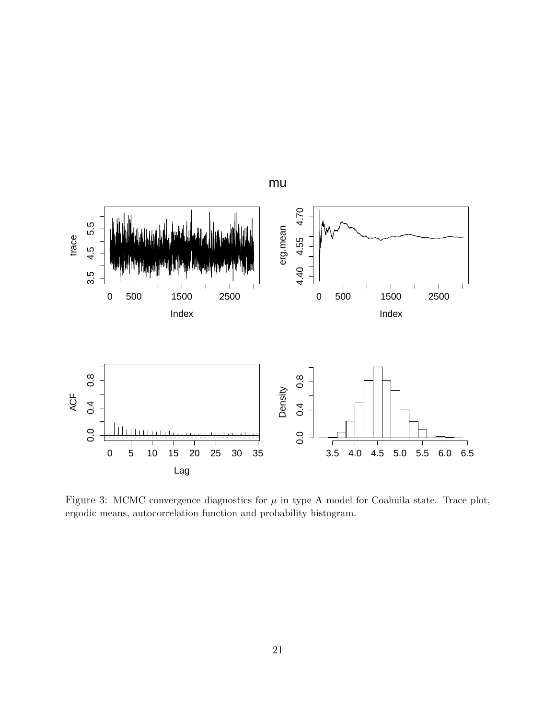<span id="page-20-0"></span>

Figure 3: MCMC convergence diagnostics for  $\mu$  in type A model for Coahuila state. Trace plot, ergodic means, autocorrelation function and probability histogram.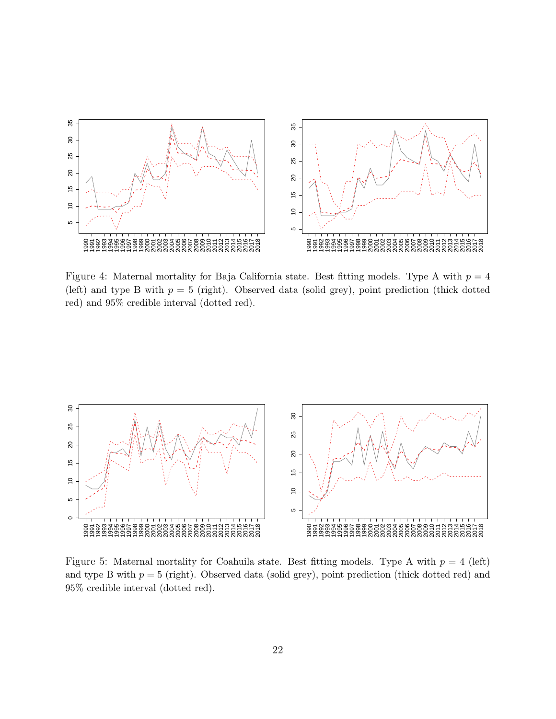<span id="page-21-0"></span>

Figure 4: Maternal mortality for Baja California state. Best fitting models. Type A with  $p = 4$ (left) and type B with  $p = 5$  (right). Observed data (solid grey), point prediction (thick dotted red) and 95% credible interval (dotted red).

<span id="page-21-1"></span>

Figure 5: Maternal mortality for Coahuila state. Best fitting models. Type A with  $p = 4$  (left) and type B with  $p = 5$  (right). Observed data (solid grey), point prediction (thick dotted red) and 95% credible interval (dotted red).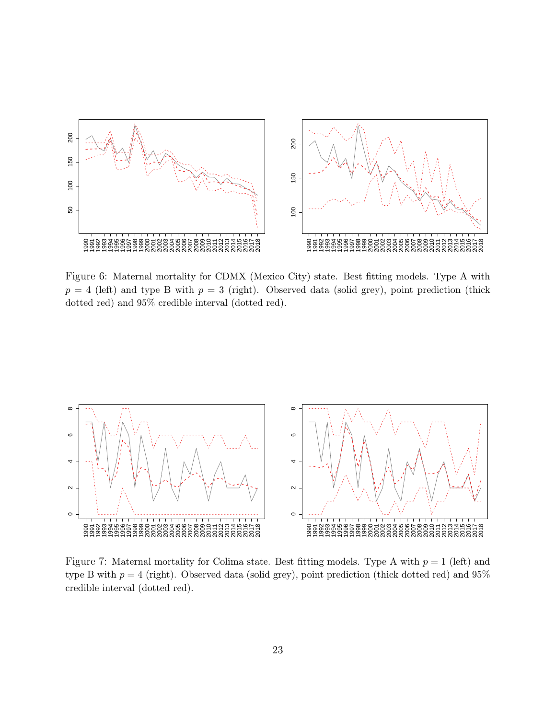<span id="page-22-0"></span>

Figure 6: Maternal mortality for CDMX (Mexico City) state. Best fitting models. Type A with  $p = 4$  (left) and type B with  $p = 3$  (right). Observed data (solid grey), point prediction (thick dotted red) and 95% credible interval (dotted red).

<span id="page-22-1"></span>

Figure 7: Maternal mortality for Colima state. Best fitting models. Type A with  $p = 1$  (left) and type B with  $p = 4$  (right). Observed data (solid grey), point prediction (thick dotted red) and  $95\%$ credible interval (dotted red).